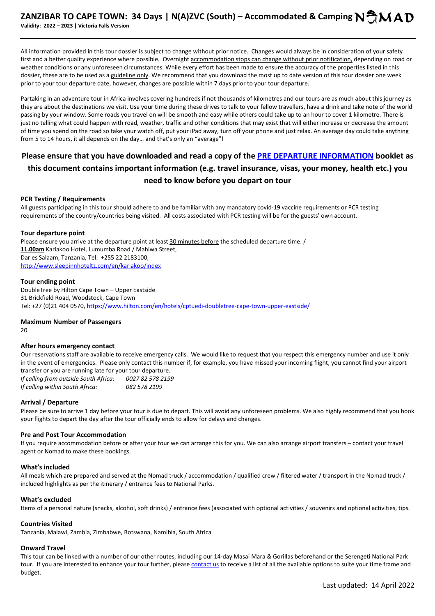All information provided in this tour dossier is subject to change without prior notice. Changes would always be in consideration of your safety first and a better quality experience where possible. Overnight accommodation stops can change without prior notification, depending on road or weather conditions or any unforeseen circumstances. While every effort has been made to ensure the accuracy of the properties listed in this dossier, these are to be used as a guideline only. We recommend that you download the most up to date version of this tour dossier one week prior to your tour departure date, however, changes are possible within 7 days prior to your tour departure.

Partaking in an adventure tour in Africa involves covering hundreds if not thousands of kilometres and our tours are as much about this journey as they are about the destinations we visit. Use your time during these drives to talk to your fellow travellers, have a drink and take note of the world passing by your window. Some roads you travel on will be smooth and easy while others could take up to an hour to cover 1 kilometre. There is just no telling what could happen with road, weather, traffic and other conditions that may exist that will either increase or decrease the amount of time you spend on the road so take your watch off, put your iPad away, turn off your phone and just relax. An average day could take anything from 5 to 14 hours, it all depends on the day… and that's only an "average"!

# **Please ensure that you have downloaded and read a copy of the PRE DEPARTURE INFORMATION booklet as this document contains important information (e.g. travel insurance, visas, your money, health etc.) you need to know before you depart on tour**

#### **PCR Testing / Requirements**

All guests participating in this tour should adhere to and be familiar with any mandatory covid-19 vaccine requirements or PCR testing requirements of the country/countries being visited. All costs associated with PCR testing will be for the guests' own account.

#### **Tour departure point**

Please ensure you arrive at the departure point at least 30 minutes before the scheduled departure time. / **11.00am** Kariakoo Hotel, Lumumba Road / Mahiwa Street, Dar es Salaam, Tanzania, Tel: +255 22 2183100, http://www.sleepinnhoteltz.com/en/kariakoo/index

#### **Tour ending point**

DoubleTree by Hilton Cape Town – Upper Eastside 31 Brickfield Road, Woodstock, Cape Town Tel: +27 (0)21 404 0570, https://www.hilton.com/en/hotels/cptuedi-doubletree-cape-town-upper-eastside/

# **Maximum Number of Passengers**

20

# **After hours emergency contact**

Our reservations staff are available to receive emergency calls. We would like to request that you respect this emergency number and use it only in the event of emergencies. Please only contact this number if, for example, you have missed your incoming flight, you cannot find your airport transfer or you are running late for your tour departure.

*If calling from outside South Africa: 0027 82 578 2199 If calling within South Africa: 082 578 2199*

# **Arrival / Departure**

Please be sure to arrive 1 day before your tour is due to depart. This will avoid any unforeseen problems. We also highly recommend that you book your flights to depart the day after the tour officially ends to allow for delays and changes.

#### **Pre and Post Tour Accommodation**

If you require accommodation before or after your tour we can arrange this for you. We can also arrange airport transfers – contact your travel agent or Nomad to make these bookings.

# **What's included**

All meals which are prepared and served at the Nomad truck / accommodation / qualified crew / filtered water / transport in the Nomad truck / included highlights as per the itinerary / entrance fees to National Parks.

# **What's excluded**

Items of a personal nature (snacks, alcohol, soft drinks) / entrance fees (associated with optional activities / souvenirs and optional activities, tips.

#### **Countries Visited**

Tanzania, Malawi, Zambia, Zimbabwe, Botswana, Namibia, South Africa

# **Onward Travel**

This tour can be linked with a number of our other routes, including our 14-day Masai Mara & Gorillas beforehand or the Serengeti National Park tour. If you are interested to enhance your tour further, please contact us to receive a list of all the available options to suite your time frame and budget.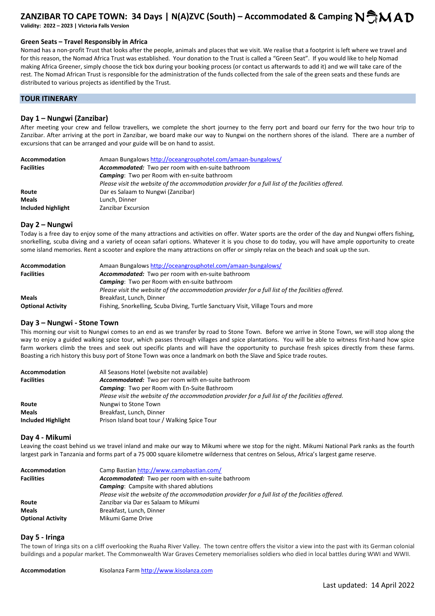**Validity: 2022 – 2023 | Victoria Falls Version** 

#### **Green Seats – Travel Responsibly in Africa**

Nomad has a non-profit Trust that looks after the people, animals and places that we visit. We realise that a footprint is left where we travel and for this reason, the Nomad Africa Trust was established. Your donation to the Trust is called a "Green Seat". If you would like to help Nomad making Africa Greener, simply choose the tick box during your booking process (or contact us afterwards to add it) and we will take care of the rest. The Nomad African Trust is responsible for the administration of the funds collected from the sale of the green seats and these funds are distributed to various projects as identified by the Trust.

# **TOUR ITINERARY**

# **Day 1 – Nungwi (Zanzibar)**

After meeting your crew and fellow travellers, we complete the short journey to the ferry port and board our ferry for the two hour trip to Zanzibar. After arriving at the port in Zanzibar, we board make our way to Nungwi on the northern shores of the island. There are a number of excursions that can be arranged and your guide will be on hand to assist.

| <b>Accommodation</b> | Amaan Bungalows http://oceangrouphotel.com/amaan-bungalows/                                       |
|----------------------|---------------------------------------------------------------------------------------------------|
| <b>Facilities</b>    | <b>Accommodated:</b> Two per room with en-suite bathroom                                          |
|                      | <b>Camping:</b> Two per Room with en-suite bathroom                                               |
|                      | Please visit the website of the accommodation provider for a full list of the facilities offered. |
| Route                | Dar es Salaam to Nungwi (Zanzibar)                                                                |
| <b>Meals</b>         | Lunch. Dinner                                                                                     |
| Included highlight   | Zanzibar Excursion                                                                                |

#### **Day 2 – Nungwi**

Today is a free day to enjoy some of the many attractions and activities on offer. Water sports are the order of the day and Nungwi offers fishing, snorkelling, scuba diving and a variety of ocean safari options. Whatever it is you chose to do today, you will have ample opportunity to create some island memories. Rent a scooter and explore the many attractions on offer or simply relax on the beach and soak up the sun.

| <b>Accommodation</b>     | Amaan Bungalows http://oceangrouphotel.com/amaan-bungalows/                                       |
|--------------------------|---------------------------------------------------------------------------------------------------|
| <b>Facilities</b>        | <b>Accommodated:</b> Two per room with en-suite bathroom                                          |
|                          | <b>Camping:</b> Two per Room with en-suite bathroom                                               |
|                          | Please visit the website of the accommodation provider for a full list of the facilities offered. |
| <b>Meals</b>             | Breakfast, Lunch, Dinner                                                                          |
| <b>Optional Activity</b> | Fishing, Snorkelling, Scuba Diving, Turtle Sanctuary Visit, Village Tours and more                |

# **Day 3 – Nungwi - Stone Town**

This morning our visit to Nungwi comes to an end as we transfer by road to Stone Town. Before we arrive in Stone Town, we will stop along the way to enjoy a guided walking spice tour, which passes through villages and spice plantations. You will be able to witness first-hand how spice farm workers climb the trees and seek out specific plants and will have the opportunity to purchase fresh spices directly from these farms. Boasting a rich history this busy port of Stone Town was once a landmark on both the Slave and Spice trade routes.

| <b>Accommodation</b> | All Seasons Hotel (website not available)                                                         |
|----------------------|---------------------------------------------------------------------------------------------------|
| <b>Facilities</b>    | <b>Accommodated:</b> Two per room with en-suite bathroom                                          |
|                      | <b>Camping:</b> Two per Room with En-Suite Bathroom                                               |
|                      | Please visit the website of the accommodation provider for a full list of the facilities offered. |
| Route                | Nungwi to Stone Town                                                                              |
| <b>Meals</b>         | Breakfast, Lunch, Dinner                                                                          |
| Included Highlight   | Prison Island boat tour / Walking Spice Tour                                                      |

#### **Day 4 - Mikumi**

Leaving the coast behind us we travel inland and make our way to Mikumi where we stop for the night. Mikumi National Park ranks as the fourth largest park in Tanzania and forms part of a 75 000 square kilometre wilderness that centres on Selous, Africa's largest game reserve.

| Accommodation            | Camp Bastian http://www.campbastian.com/                                                          |
|--------------------------|---------------------------------------------------------------------------------------------------|
| <b>Facilities</b>        | Accommodated: Two per room with en-suite bathroom                                                 |
|                          | <b>Camping:</b> Campsite with shared ablutions                                                    |
|                          | Please visit the website of the accommodation provider for a full list of the facilities offered. |
| Route                    | Zanzibar via Dar es Salaam to Mikumi                                                              |
| <b>Meals</b>             | Breakfast, Lunch, Dinner                                                                          |
| <b>Optional Activity</b> | Mikumi Game Drive                                                                                 |

#### **Day 5 - Iringa**

The town of Iringa sits on a cliff overlooking the Ruaha River Valley. The town centre offers the visitor a view into the past with its German colonial buildings and a popular market. The Commonwealth War Graves Cemetery memorialises soldiers who died in local battles during WWI and WWII.

Accommodation Kisolanza Farm http://www.kisolanza.com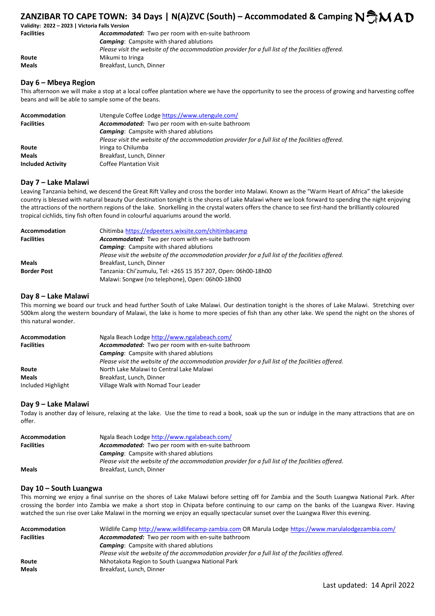| Validity: 2022 - 2023   Victoria Falls Version |                                                                                                   |
|------------------------------------------------|---------------------------------------------------------------------------------------------------|
| <b>Facilities</b>                              | <b>Accommodated:</b> Two per room with en-suite bathroom                                          |
|                                                | <b>Camping:</b> Campsite with shared ablutions                                                    |
|                                                | Please visit the website of the accommodation provider for a full list of the facilities offered. |
| Route                                          | Mikumi to Iringa                                                                                  |
| Meals                                          | Breakfast, Lunch, Dinner                                                                          |

# **Day 6 – Mbeya Region**

This afternoon we will make a stop at a local coffee plantation where we have the opportunity to see the process of growing and harvesting coffee beans and will be able to sample some of the beans.

| Accommodation            | Utengule Coffee Lodge https://www.utengule.com/                                                   |
|--------------------------|---------------------------------------------------------------------------------------------------|
| <b>Facilities</b>        | Accommodated: Two per room with en-suite bathroom                                                 |
|                          | <b>Camping:</b> Campsite with shared ablutions                                                    |
|                          | Please visit the website of the accommodation provider for a full list of the facilities offered. |
| Route                    | Iringa to Chilumba                                                                                |
| <b>Meals</b>             | Breakfast, Lunch, Dinner                                                                          |
| <b>Included Activity</b> | <b>Coffee Plantation Visit</b>                                                                    |

#### **Day 7 – Lake Malawi**

Leaving Tanzania behind, we descend the Great Rift Valley and cross the border into Malawi. Known as the "Warm Heart of Africa" the lakeside country is blessed with natural beauty Our destination tonight is the shores of Lake Malawi where we look forward to spending the night enjoying the attractions of the northern regions of the lake. Snorkelling in the crystal waters offers the chance to see first-hand the brilliantly coloured tropical cichlids, tiny fish often found in colourful aquariums around the world.

| Accommodation      | Chitimba https://edpeeters.wixsite.com/chitimbacamp                                               |
|--------------------|---------------------------------------------------------------------------------------------------|
| <b>Facilities</b>  | Accommodated: Two per room with en-suite bathroom                                                 |
|                    | <b>Camping:</b> Campsite with shared ablutions                                                    |
|                    | Please visit the website of the accommodation provider for a full list of the facilities offered. |
| <b>Meals</b>       | Breakfast, Lunch, Dinner                                                                          |
| <b>Border Post</b> | Tanzania: Chi'zumulu, Tel: +265 15 357 207, Open: 06h00-18h00                                     |
|                    | Malawi: Songwe (no telephone), Open: 06h00-18h00                                                  |

#### **Day 8 – Lake Malawi**

This morning we board our truck and head further South of Lake Malawi. Our destination tonight is the shores of Lake Malawi. Stretching over 500km along the western boundary of Malawi, the lake is home to more species of fish than any other lake. We spend the night on the shores of this natural wonder.

| <b>Accommodation</b> | Ngala Beach Lodge http://www.ngalabeach.com/                                                      |
|----------------------|---------------------------------------------------------------------------------------------------|
| <b>Facilities</b>    | Accommodated: Two per room with en-suite bathroom                                                 |
|                      | <b>Camping:</b> Campsite with shared ablutions                                                    |
|                      | Please visit the website of the accommodation provider for a full list of the facilities offered. |
| Route                | North Lake Malawi to Central Lake Malawi                                                          |
| <b>Meals</b>         | Breakfast, Lunch, Dinner                                                                          |
| Included Highlight   | Village Walk with Nomad Tour Leader                                                               |

# **Day 9 – Lake Malawi**

Today is another day of leisure, relaxing at the lake. Use the time to read a book, soak up the sun or indulge in the many attractions that are on offer.

| <b>Accommodation</b> | Ngala Beach Lodge http://www.ngalabeach.com/                                                      |
|----------------------|---------------------------------------------------------------------------------------------------|
| <b>Facilities</b>    | Accommodated: Two per room with en-suite bathroom                                                 |
|                      | <b>Camping:</b> Campsite with shared ablutions                                                    |
|                      | Please visit the website of the accommodation provider for a full list of the facilities offered. |
| <b>Meals</b>         | Breakfast, Lunch, Dinner                                                                          |

# **Day 10 – South Luangwa**

This morning we enjoy a final sunrise on the shores of Lake Malawi before setting off for Zambia and the South Luangwa National Park. After crossing the border into Zambia we make a short stop in Chipata before continuing to our camp on the banks of the Luangwa River. Having watched the sun rise over Lake Malawi in the morning we enjoy an equally spectacular sunset over the Luangwa River this evening.

| Wildlife Camp http://www.wildlifecamp-zambia.com OR Marula Lodge https://www.marulalodgezambia.com/ |
|-----------------------------------------------------------------------------------------------------|
| <b>Accommodated:</b> Two per room with en-suite bathroom                                            |
| <b>Camping:</b> Campsite with shared ablutions                                                      |
| Please visit the website of the accommodation provider for a full list of the facilities offered.   |
| Nkhotakota Region to South Luangwa National Park                                                    |
| Breakfast, Lunch, Dinner                                                                            |
|                                                                                                     |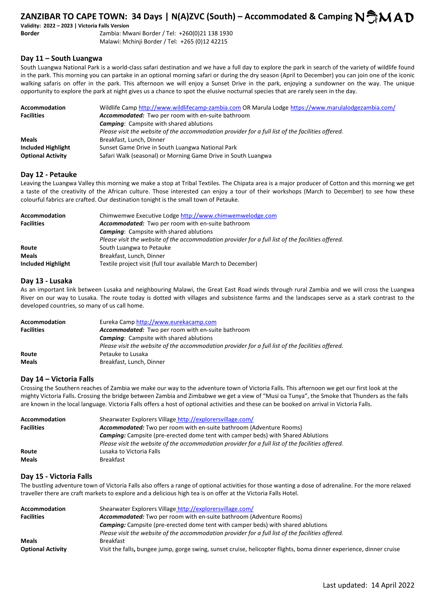**Validity: 2022 – 2023 | Victoria Falls Version** 

**Border** Zambia: Mwani Border / Tel: +260(0)21 138 1930 Malawi: Mchinji Border / Tel: +265 (0)12 42215

#### **Day 11 – South Luangwa**

South Luangwa National Park is a world-class safari destination and we have a full day to explore the park in search of the variety of wildlife found in the park. This morning you can partake in an optional morning safari or during the dry season (April to December) you can join one of the iconic walking safaris on offer in the park. This afternoon we will enjoy a Sunset Drive in the park, enjoying a sundowner on the way. The unique opportunity to explore the park at night gives us a chance to spot the elusive nocturnal species that are rarely seen in the day.

| <b>Accommodation</b>     | Wildlife Camp http://www.wildlifecamp-zambia.com OR Marula Lodge https://www.marulalodgezambia.com/ |
|--------------------------|-----------------------------------------------------------------------------------------------------|
| <b>Facilities</b>        | Accommodated: Two per room with en-suite bathroom                                                   |
|                          | <b>Camping:</b> Campsite with shared ablutions                                                      |
|                          | Please visit the website of the accommodation provider for a full list of the facilities offered.   |
| <b>Meals</b>             | Breakfast, Lunch, Dinner                                                                            |
| Included Highlight       | Sunset Game Drive in South Luangwa National Park                                                    |
| <b>Optional Activity</b> | Safari Walk (seasonal) or Morning Game Drive in South Luangwa                                       |

#### **Day 12 - Petauke**

Leaving the Luangwa Valley this morning we make a stop at Tribal Textiles. The Chipata area is a major producer of Cotton and this morning we get a taste of the creativity of the African culture. Those interested can enjoy a tour of their workshops (March to December) to see how these colourful fabrics are crafted. Our destination tonight is the small town of Petauke.

| Accommodation      | Chimwemwe Executive Lodge http://www.chimwemwelodge.com                                           |
|--------------------|---------------------------------------------------------------------------------------------------|
| <b>Facilities</b>  | <b>Accommodated:</b> Two per room with en-suite bathroom                                          |
|                    | <b>Camping:</b> Campsite with shared ablutions                                                    |
|                    | Please visit the website of the accommodation provider for a full list of the facilities offered. |
| Route              | South Luangwa to Petauke                                                                          |
| <b>Meals</b>       | Breakfast, Lunch, Dinner                                                                          |
| Included Highlight | Textile project visit (full tour available March to December)                                     |

#### **Day 13 - Lusaka**

As an important link between Lusaka and neighbouring Malawi, the Great East Road winds through rural Zambia and we will cross the Luangwa River on our way to Lusaka. The route today is dotted with villages and subsistence farms and the landscapes serve as a stark contrast to the developed countries, so many of us call home.

| <b>Accommodation</b> | Eureka Camp http://www.eurekacamp.com                                                             |
|----------------------|---------------------------------------------------------------------------------------------------|
| <b>Facilities</b>    | Accommodated: Two per room with en-suite bathroom                                                 |
|                      | <b>Camping:</b> Campsite with shared ablutions                                                    |
|                      | Please visit the website of the accommodation provider for a full list of the facilities offered. |
| Route                | Petauke to Lusaka                                                                                 |
| <b>Meals</b>         | Breakfast, Lunch, Dinner                                                                          |

# **Day 14 – Victoria Falls**

Crossing the Southern reaches of Zambia we make our way to the adventure town of Victoria Falls. This afternoon we get our first look at the mighty Victoria Falls. Crossing the bridge between Zambia and Zimbabwe we get a view of "Musi oa Tunya", the Smoke that Thunders as the falls are known in the local language. Victoria Falls offers a host of optional activities and these can be booked on arrival in Victoria Falls.

| <b>Accommodation</b><br><b>Facilities</b> | Shearwater Explorers Village http://explorersvillage.com/<br><b>Accommodated:</b> Two per room with en-suite bathroom (Adventure Rooms) |
|-------------------------------------------|-----------------------------------------------------------------------------------------------------------------------------------------|
|                                           | <b>Camping:</b> Campsite (pre-erected dome tent with camper beds) with Shared Ablutions                                                 |
|                                           | Please visit the website of the accommodation provider for a full list of the facilities offered.                                       |
| Route                                     | Lusaka to Victoria Falls                                                                                                                |
| <b>Meals</b>                              | <b>Breakfast</b>                                                                                                                        |

# **Day 15 - Victoria Falls**

The bustling adventure town of Victoria Falls also offers a range of optional activities for those wanting a dose of adrenaline. For the more relaxed traveller there are craft markets to explore and a delicious high tea is on offer at the Victoria Falls Hotel.

| <b>Accommodation</b>     | Shearwater Explorers Village http://explorersvillage.com/                                                           |
|--------------------------|---------------------------------------------------------------------------------------------------------------------|
| <b>Facilities</b>        | <b>Accommodated:</b> Two per room with en-suite bathroom (Adventure Rooms)                                          |
|                          | <b>Camping:</b> Campsite (pre-erected dome tent with camper beds) with shared ablutions                             |
|                          | Please visit the website of the accommodation provider for a full list of the facilities offered.                   |
| <b>Meals</b>             | <b>Breakfast</b>                                                                                                    |
| <b>Optional Activity</b> | Visit the falls, bungee jump, gorge swing, sunset cruise, helicopter flights, boma dinner experience, dinner cruise |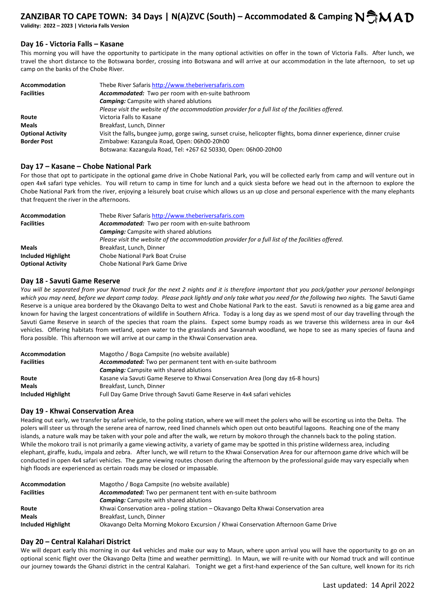**Validity: 2022 – 2023 | Victoria Falls Version** 

# **Day 16 - Victoria Falls – Kasane**

This morning you will have the opportunity to participate in the many optional activities on offer in the town of Victoria Falls. After lunch, we travel the short distance to the Botswana border, crossing into Botswana and will arrive at our accommodation in the late afternoon, to set up camp on the banks of the Chobe River.

| Accommodation            | Thebe River Safaris http://www.theberiversafaris.com                                                                |
|--------------------------|---------------------------------------------------------------------------------------------------------------------|
| <b>Facilities</b>        | Accommodated: Two per room with en-suite bathroom                                                                   |
|                          | <b>Camping:</b> Campsite with shared ablutions                                                                      |
|                          | Please visit the website of the accommodation provider for a full list of the facilities offered.                   |
| Route                    | Victoria Falls to Kasane                                                                                            |
| Meals                    | Breakfast, Lunch, Dinner                                                                                            |
| <b>Optional Activity</b> | Visit the falls, bungee jump, gorge swing, sunset cruise, helicopter flights, boma dinner experience, dinner cruise |
| <b>Border Post</b>       | Zimbabwe: Kazangula Road, Open: 06h00-20h00                                                                         |
|                          | Botswana: Kazangula Road, Tel: +267 62 50330, Open: 06h00-20h00                                                     |

#### **Day 17 – Kasane – Chobe National Park**

For those that opt to participate in the optional game drive in Chobe National Park, you will be collected early from camp and will venture out in open 4x4 safari type vehicles. You will return to camp in time for lunch and a quick siesta before we head out in the afternoon to explore the Chobe National Park from the river, enjoying a leisurely boat cruise which allows us an up close and personal experience with the many elephants that frequent the river in the afternoons.

| Accommodation<br><b>Facilities</b> | Thebe River Safaris http://www.theberiversafaris.com<br>Accommodated: Two per room with en-suite bathroom |
|------------------------------------|-----------------------------------------------------------------------------------------------------------|
|                                    |                                                                                                           |
|                                    | <b>Camping:</b> Campsite with shared ablutions                                                            |
|                                    | Please visit the website of the accommodation provider for a full list of the facilities offered.         |
| <b>Meals</b>                       | Breakfast, Lunch, Dinner                                                                                  |
| Included Highlight                 | <b>Chobe National Park Boat Cruise</b>                                                                    |
| <b>Optional Activity</b>           | Chobe National Park Game Drive                                                                            |

#### **Day 18 - Savuti Game Reserve**

*You will be separated from your Nomad truck for the next 2 nights and it is therefore important that you pack/gather your personal belongings which you may need, before we depart camp today. Please pack lightly and only take what you need for the following two nights.* The Savuti Game Reserve is a unique area bordered by the Okavango Delta to west and Chobe National Park to the east. Savuti is renowned as a big game area and known for having the largest concentrations of wildlife in Southern Africa. Today is a long day as we spend most of our day travelling through the Savuti Game Reserve in search of the species that roam the plains. Expect some bumpy roads as we traverse this wilderness area in our 4x4 vehicles. Offering habitats from wetland, open water to the grasslands and Savannah woodland, we hope to see as many species of fauna and flora possible. This afternoon we will arrive at our camp in the Khwai Conservation area.

| <b>Accommodation</b> | Magotho / Boga Campsite (no website available)                                  |
|----------------------|---------------------------------------------------------------------------------|
| <b>Facilities</b>    | Accommodated: Two per permanent tent with en-suite bathroom                     |
|                      | <b>Camping:</b> Campsite with shared ablutions                                  |
| Route                | Kasane via Savuti Game Reserve to Khwai Conservation Area (long day ±6-8 hours) |
| <b>Meals</b>         | Breakfast, Lunch, Dinner                                                        |
| Included Highlight   | Full Day Game Drive through Savuti Game Reserve in 4x4 safari vehicles          |

# **Day 19 - Khwai Conservation Area**

Heading out early, we transfer by safari vehicle, to the poling station, where we will meet the polers who will be escorting us into the Delta. The polers will steer us through the serene area of narrow, reed lined channels which open out onto beautiful lagoons. Reaching one of the many islands, a nature walk may be taken with your pole and after the walk, we return by mokoro through the channels back to the poling station. While the mokoro trail is not primarily a game viewing activity, a variety of game may be spotted in this pristine wilderness area, including elephant, giraffe, kudu, impala and zebra. After lunch, we will return to the Khwai Conservation Area for our afternoon game drive which will be conducted in open 4x4 safari vehicles. The game viewing routes chosen during the afternoon by the professional guide may vary especially when high floods are experienced as certain roads may be closed or impassable.

| <b>Accommodation</b> | Magotho / Boga Campsite (no website available)                                    |  |
|----------------------|-----------------------------------------------------------------------------------|--|
| <b>Facilities</b>    | Accommodated: Two per permanent tent with en-suite bathroom                       |  |
|                      | <b>Camping:</b> Campsite with shared ablutions                                    |  |
| Route                | Khwai Conservation area - poling station - Okavango Delta Khwai Conservation area |  |
| <b>Meals</b>         | Breakfast, Lunch, Dinner                                                          |  |
| Included Highlight   | Okavango Delta Morning Mokoro Excursion / Khwai Conservation Afternoon Game Drive |  |

# **Day 20 – Central Kalahari District**

We will depart early this morning in our 4x4 vehicles and make our way to Maun, where upon arrival you will have the opportunity to go on an optional scenic flight over the Okavango Delta (time and weather permitting). In Maun, we will re-unite with our Nomad truck and will continue our journey towards the Ghanzi district in the central Kalahari. Tonight we get a first-hand experience of the San culture, well known for its rich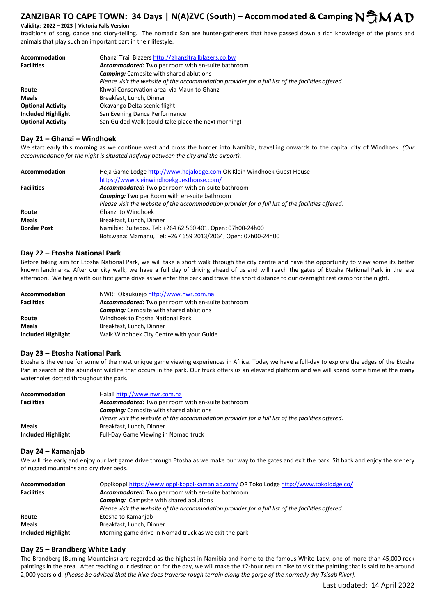**Validity: 2022 – 2023 | Victoria Falls Version** 

traditions of song, dance and story-telling. The nomadic San are hunter-gatherers that have passed down a rich knowledge of the plants and animals that play such an important part in their lifestyle.

| Accommodation             | Ghanzi Trail Blazers http://ghanzitrailblazers.co.bw                                              |
|---------------------------|---------------------------------------------------------------------------------------------------|
| <b>Facilities</b>         | <b>Accommodated:</b> Two per room with en-suite bathroom                                          |
|                           | <b>Camping:</b> Campsite with shared ablutions                                                    |
|                           | Please visit the website of the accommodation provider for a full list of the facilities offered. |
| Route                     | Khwai Conservation area via Maun to Ghanzi                                                        |
| <b>Meals</b>              | Breakfast, Lunch, Dinner                                                                          |
| <b>Optional Activity</b>  | Okavango Delta scenic flight                                                                      |
| <b>Included Highlight</b> | San Evening Dance Performance                                                                     |
| <b>Optional Activity</b>  | San Guided Walk (could take place the next morning)                                               |

#### **Day 21 – Ghanzi – Windhoek**

We start early this morning as we continue west and cross the border into Namibia, travelling onwards to the capital city of Windhoek. *(Our accommodation for the night is situated halfway between the city and the airport).*

| Accommodation      | Heja Game Lodge http://www.hejalodge.com OR Klein Windhoek Guest House                            |
|--------------------|---------------------------------------------------------------------------------------------------|
|                    | https://www.kleinwindhoekguesthouse.com/                                                          |
| <b>Facilities</b>  | Accommodated: Two per room with en-suite bathroom                                                 |
|                    | <b>Camping:</b> Two per Room with en-suite bathroom                                               |
|                    | Please visit the website of the accommodation provider for a full list of the facilities offered. |
| Route              | <b>Ghanzi to Windhoek</b>                                                                         |
| <b>Meals</b>       | Breakfast, Lunch, Dinner                                                                          |
| <b>Border Post</b> | Namibia: Buitepos, Tel: +264 62 560 401, Open: 07h00-24h00                                        |
|                    | Botswana: Mamanu, Tel: +267 659 2013/2064, Open: 07h00-24h00                                      |

#### **Day 22 – Etosha National Park**

Before taking aim for Etosha National Park, we will take a short walk through the city centre and have the opportunity to view some its better known landmarks. After our city walk, we have a full day of driving ahead of us and will reach the gates of Etosha National Park in the late afternoon. We begin with our first game drive as we enter the park and travel the short distance to our overnight rest camp for the night.

| Accommodation      | NWR: Okaukuejo http://www.nwr.com.na              |
|--------------------|---------------------------------------------------|
| <b>Facilities</b>  | Accommodated: Two per room with en-suite bathroom |
|                    | <b>Camping:</b> Campsite with shared ablutions    |
| Route              | Windhoek to Etosha National Park                  |
| <b>Meals</b>       | Breakfast, Lunch, Dinner                          |
| Included Highlight | Walk Windhoek City Centre with your Guide         |

# **Day 23 – Etosha National Park**

Etosha is the venue for some of the most unique game viewing experiences in Africa. Today we have a full-day to explore the edges of the Etosha Pan in search of the abundant wildlife that occurs in the park. Our truck offers us an elevated platform and we will spend some time at the many waterholes dotted throughout the park.

| <b>Accommodation</b> | Halali http://www.nwr.com.na                                                                      |
|----------------------|---------------------------------------------------------------------------------------------------|
| <b>Facilities</b>    | <b>Accommodated:</b> Two per room with en-suite bathroom                                          |
|                      | <b>Camping:</b> Campsite with shared ablutions                                                    |
|                      | Please visit the website of the accommodation provider for a full list of the facilities offered. |
| <b>Meals</b>         | Breakfast, Lunch, Dinner                                                                          |
| Included Highlight   | Full-Day Game Viewing in Nomad truck                                                              |

#### **Day 24 – Kamanjab**

We will rise early and enjoy our last game drive through Etosha as we make our way to the gates and exit the park. Sit back and enjoy the scenery of rugged mountains and dry river beds.

| <b>Accommodation</b> | Oppikoppi https://www.oppi-koppi-kamanjab.com/ OR Toko Lodge http://www.tokolodge.co/             |
|----------------------|---------------------------------------------------------------------------------------------------|
| <b>Facilities</b>    | Accommodated: Two per room with en-suite bathroom                                                 |
|                      | <b>Camping:</b> Campsite with shared ablutions                                                    |
|                      | Please visit the website of the accommodation provider for a full list of the facilities offered. |
| Route                | Etosha to Kamanjab                                                                                |
| <b>Meals</b>         | Breakfast, Lunch, Dinner                                                                          |
| Included Highlight   | Morning game drive in Nomad truck as we exit the park                                             |

# **Day 25 – Brandberg White Lady**

The Brandberg (Burning Mountains) are regarded as the highest in Namibia and home to the famous White Lady, one of more than 45,000 rock paintings in the area. After reaching our destination for the day, we will make the ±2-hour return hike to visit the painting that is said to be around 2,000 years old. *(Please be advised that the hike does traverse rough terrain along the gorge of the normally dry Tsisab River).*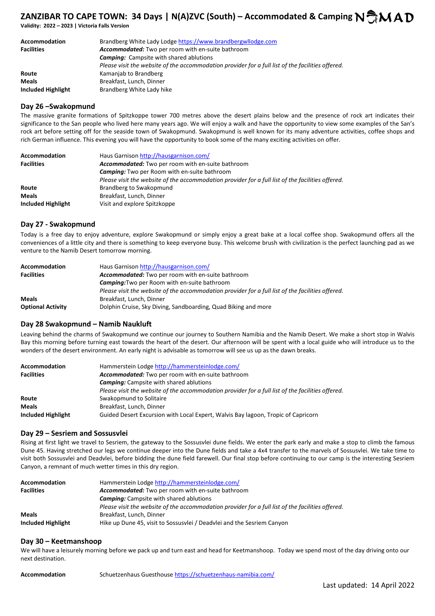**Validity: 2022 – 2023 | Victoria Falls Version** 

| <b>Accommodation</b> | Brandberg White Lady Lodge https://www.brandbergwllodge.com                                       |
|----------------------|---------------------------------------------------------------------------------------------------|
| <b>Facilities</b>    | <b>Accommodated:</b> Two per room with en-suite bathroom                                          |
|                      | <b>Camping:</b> Campsite with shared ablutions                                                    |
|                      | Please visit the website of the accommodation provider for a full list of the facilities offered. |
| Route                | Kamanjab to Brandberg                                                                             |
| <b>Meals</b>         | Breakfast, Lunch, Dinner                                                                          |
| Included Highlight   | Brandberg White Lady hike                                                                         |

#### **Day 26 –Swakopmund**

The massive granite formations of Spitzkoppe tower 700 metres above the desert plains below and the presence of rock art indicates their significance to the San people who lived here many years ago. We will enjoy a walk and have the opportunity to view some examples of the San's rock art before setting off for the seaside town of Swakopmund. Swakopmund is well known for its many adventure activities, coffee shops and rich German influence. This evening you will have the opportunity to book some of the many exciting activities on offer.

| Accommodation      | Haus Garnison http://hausgarnison.com/                                                            |
|--------------------|---------------------------------------------------------------------------------------------------|
| <b>Facilities</b>  | <b>Accommodated:</b> Two per room with en-suite bathroom                                          |
|                    | <b>Camping:</b> Two per Room with en-suite bathroom                                               |
|                    | Please visit the website of the accommodation provider for a full list of the facilities offered. |
| Route              | Brandberg to Swakopmund                                                                           |
| <b>Meals</b>       | Breakfast, Lunch, Dinner                                                                          |
| Included Highlight | Visit and explore Spitzkoppe                                                                      |

# **Day 27 - Swakopmund**

Today is a free day to enjoy adventure, explore Swakopmund or simply enjoy a great bake at a local coffee shop. Swakopmund offers all the conveniences of a little city and there is something to keep everyone busy. This welcome brush with civilization is the perfect launching pad as we venture to the Namib Desert tomorrow morning.

| <b>Accommodation</b>     | Haus Garnison http://hausgarnison.com/                                                            |
|--------------------------|---------------------------------------------------------------------------------------------------|
| <b>Facilities</b>        | <b>Accommodated:</b> Two per room with en-suite bathroom                                          |
|                          | <b>Camping:</b> Two per Room with en-suite bathroom                                               |
|                          | Please visit the website of the accommodation provider for a full list of the facilities offered. |
| <b>Meals</b>             | Breakfast, Lunch, Dinner                                                                          |
| <b>Optional Activity</b> | Dolphin Cruise, Sky Diving, Sandboarding, Quad Biking and more                                    |

# **Day 28 Swakopmund – Namib Naukluft**

Leaving behind the charms of Swakopmund we continue our journey to Southern Namibia and the Namib Desert. We make a short stop in Walvis Bay this morning before turning east towards the heart of the desert. Our afternoon will be spent with a local guide who will introduce us to the wonders of the desert environment. An early night is advisable as tomorrow will see us up as the dawn breaks.

| <b>Accommodation</b> | Hammerstein Lodge http://hammersteinlodge.com/                                                    |
|----------------------|---------------------------------------------------------------------------------------------------|
| <b>Facilities</b>    | Accommodated: Two per room with en-suite bathroom                                                 |
|                      | <b>Camping:</b> Campsite with shared ablutions                                                    |
|                      | Please visit the website of the accommodation provider for a full list of the facilities offered. |
| Route                | Swakopmund to Solitaire                                                                           |
| <b>Meals</b>         | Breakfast, Lunch, Dinner                                                                          |
| Included Highlight   | Guided Desert Excursion with Local Expert, Walvis Bay lagoon, Tropic of Capricorn                 |

# **Day 29 – Sesriem and Sossusvlei**

Rising at first light we travel to Sesriem, the gateway to the Sossusvlei dune fields. We enter the park early and make a stop to climb the famous Dune 45. Having stretched our legs we continue deeper into the Dune fields and take a 4x4 transfer to the marvels of Sossusvlei. We take time to visit both Sossusvlei and Deadvlei, before bidding the dune field farewell. Our final stop before continuing to our camp is the interesting Sesriem Canyon, a remnant of much wetter times in this dry region.

| Accommodation      | Hammerstein Lodge http://hammersteinlodge.com/                                                    |
|--------------------|---------------------------------------------------------------------------------------------------|
| <b>Facilities</b>  | Accommodated: Two per room with en-suite bathroom                                                 |
|                    | <b>Camping:</b> Campsite with shared ablutions                                                    |
|                    | Please visit the website of the accommodation provider for a full list of the facilities offered. |
| <b>Meals</b>       | Breakfast, Lunch, Dinner                                                                          |
| Included Highlight | Hike up Dune 45, visit to Sossusvlei / Deadvlei and the Sesriem Canyon                            |

# **Day 30 – Keetmanshoop**

We will have a leisurely morning before we pack up and turn east and head for Keetmanshoop. Today we spend most of the day driving onto our next destination.

| Accommodation | Schuetzenhaus Guesthouse https://schuetzenhaus-namibia.com/ |
|---------------|-------------------------------------------------------------|
|               |                                                             |